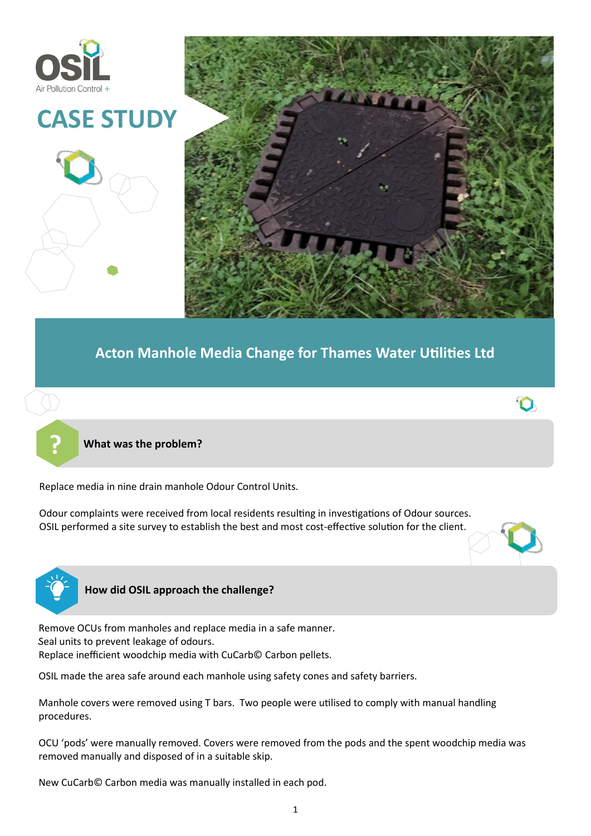



 $\Omega$ 

## **Acton Manhole Media Change for Thames Water Utilities Ltd**



**? What was the problem?**

Replace media in nine drain manhole Odour Control Units.

Odour complaints were received from local residents resulting in investigations of Odour sources. OSIL performed a site survey to establish the best and most cost-effective solution for the client.



## **How did OSIL approach the challenge?**

. Seal units to prevent leakage of odours. Remove OCUs from manholes and replace media in a safe manner. Replace inefficient woodchip media with CuCarb© Carbon pellets.

OSIL made the area safe around each manhole using safety cones and safety barriers.

Manhole covers were removed using T bars. Two people were utilised to comply with manual handling procedures.

OCU 'pods' were manually removed. Covers were removed from the pods and the spent woodchip media was removed manually and disposed of in a suitable skip.

New CuCarb© Carbon media was manually installed in each pod.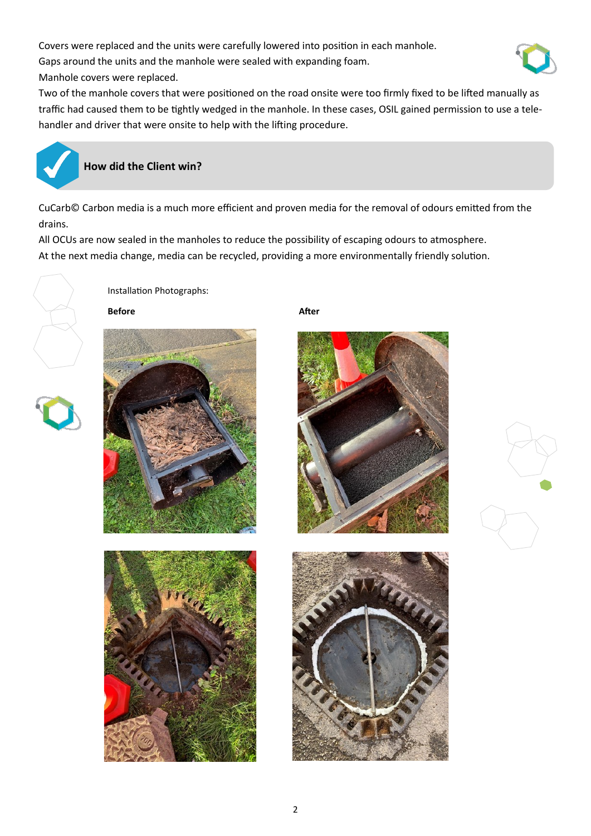Covers were replaced and the units were carefully lowered into position in each manhole.

Gaps around the units and the manhole were sealed with expanding foam.



Manhole covers were replaced.

Two of the manhole covers that were positioned on the road onsite were too firmly fixed to be lifted manually as traffic had caused them to be tightly wedged in the manhole. In these cases, OSIL gained permission to use a telehandler and driver that were onsite to help with the lifting procedure.



## **How did the Client win?**

CuCarb© Carbon media is a much more efficient and proven media for the removal of odours emitted from the drains.

All OCUs are now sealed in the manholes to reduce the possibility of escaping odours to atmosphere. At the next media change, media can be recycled, providing a more environmentally friendly solution.



Installation Photographs:





**Before** After